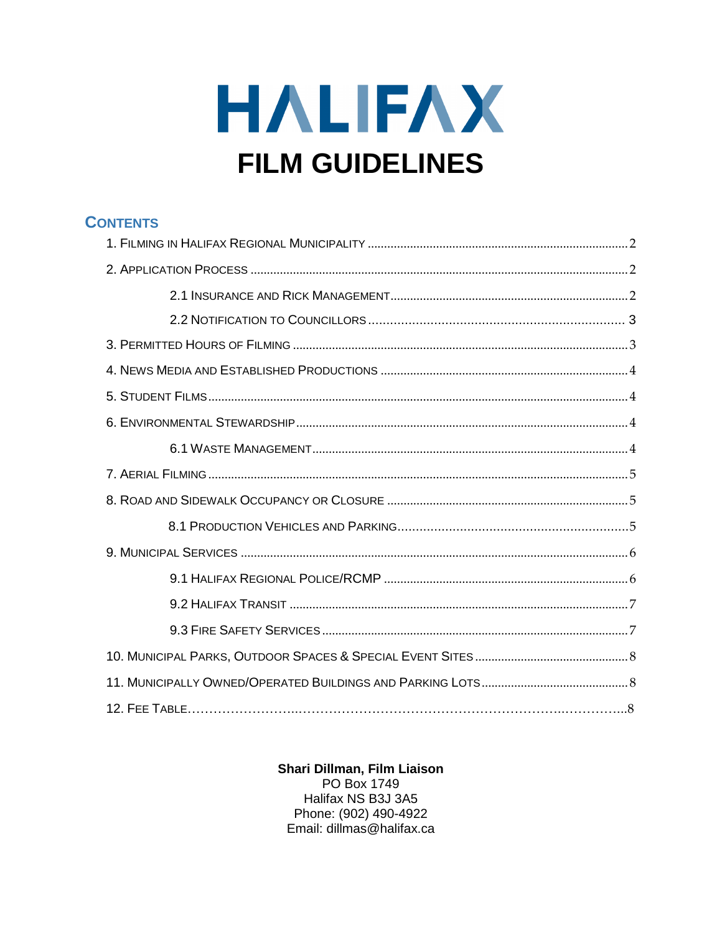# HALIFAX **FILM GUIDELINES**

| <b>CONTENTS</b> |  |
|-----------------|--|
|                 |  |
|                 |  |
|                 |  |
|                 |  |
|                 |  |
|                 |  |
|                 |  |
|                 |  |
|                 |  |
|                 |  |
|                 |  |
|                 |  |
|                 |  |
|                 |  |
|                 |  |
|                 |  |
|                 |  |
|                 |  |
|                 |  |

#### Shari Dillman, Film Liaison

PO Box 1749 Halifax NS B3J 3A5 Phone: (902) 490-4922 Email: dillmas@halifax.ca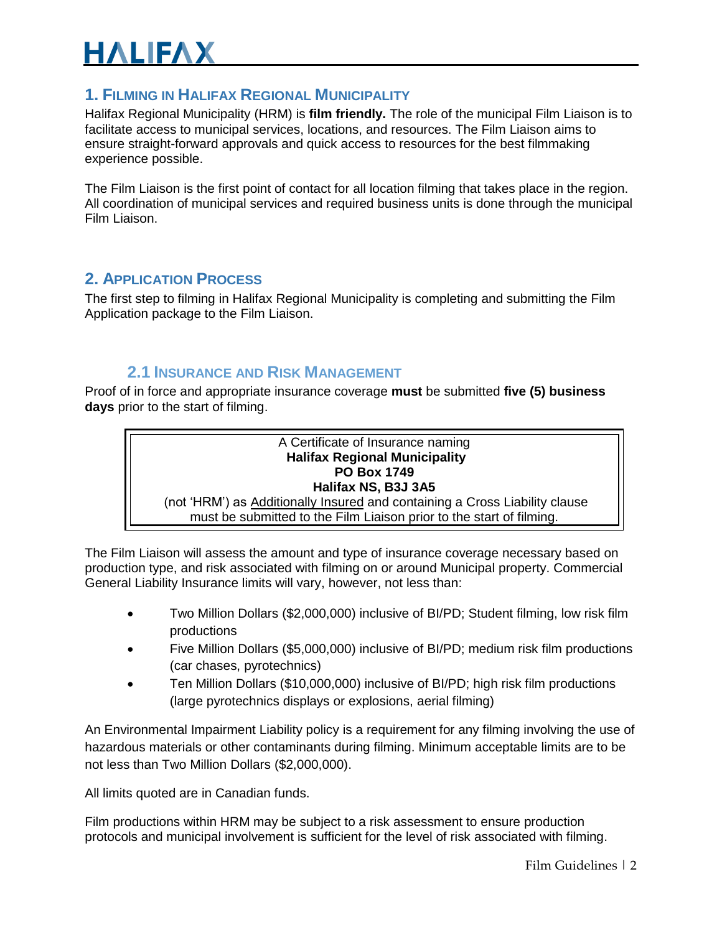#### <span id="page-1-0"></span>**1. FILMING IN HALIFAX REGIONAL MUNICIPALITY**

Halifax Regional Municipality (HRM) is **film friendly.** The role of the municipal Film Liaison is to facilitate access to municipal services, locations, and resources. The Film Liaison aims to ensure straight-forward approvals and quick access to resources for the best filmmaking experience possible.

The Film Liaison is the first point of contact for all location filming that takes place in the region. All coordination of municipal services and required business units is done through the municipal Film Liaison.

#### <span id="page-1-1"></span>**2. APPLICATION PROCESS**

The first step to filming in Halifax Regional Municipality is completing and submitting the Film Application package to the Film Liaison.

#### **2.1 INSURANCE AND RISK MANAGEMENT**

Proof of in force and appropriate insurance coverage **must** be submitted **five (5) business days** prior to the start of filming.

#### A Certificate of Insurance naming **Halifax Regional Municipality PO Box 1749 Halifax NS, B3J 3A5** (not 'HRM') as Additionally Insured and containing a Cross Liability clause must be submitted to the Film Liaison prior to the start of filming.

The Film Liaison will assess the amount and type of insurance coverage necessary based on production type, and risk associated with filming on or around Municipal property. Commercial General Liability Insurance limits will vary, however, not less than:

- Two Million Dollars (\$2,000,000) inclusive of BI/PD; Student filming, low risk film productions
- Five Million Dollars (\$5,000,000) inclusive of BI/PD; medium risk film productions (car chases, pyrotechnics)
- Ten Million Dollars (\$10,000,000) inclusive of BI/PD; high risk film productions (large pyrotechnics displays or explosions, aerial filming)

An Environmental Impairment Liability policy is a requirement for any filming involving the use of hazardous materials or other contaminants during filming. Minimum acceptable limits are to be not less than Two Million Dollars (\$2,000,000).

All limits quoted are in Canadian funds.

Film productions within HRM may be subject to a risk assessment to ensure production protocols and municipal involvement is sufficient for the level of risk associated with filming.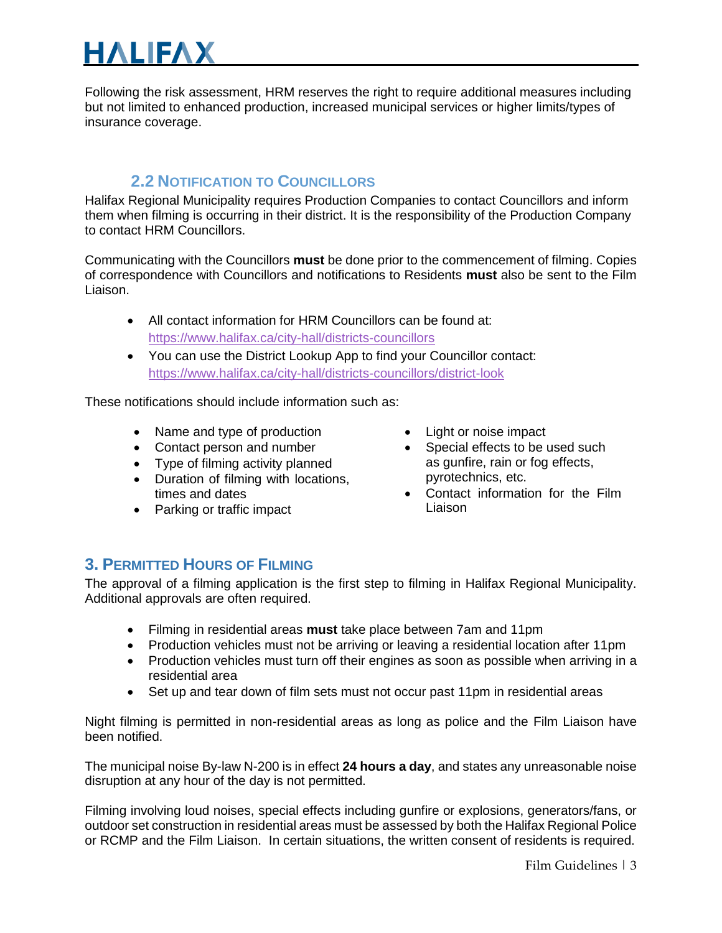Following the risk assessment, HRM reserves the right to require additional measures including but not limited to enhanced production, increased municipal services or higher limits/types of insurance coverage.

#### <span id="page-2-0"></span>**2.2 NOTIFICATION TO COUNCILLORS**

Halifax Regional Municipality requires Production Companies to contact Councillors and inform them when filming is occurring in their district. It is the responsibility of the Production Company to contact HRM Councillors.

Communicating with the Councillors **must** be done prior to the commencement of filming. Copies of correspondence with Councillors and notifications to Residents **must** also be sent to the Film Liaison.

- All contact information for HRM Councillors can be found at: <https://www.halifax.ca/city-hall/districts-councillors>
- You can use the District Lookup App to find your Councillor contact: <https://www.halifax.ca/city-hall/districts-councillors/district-look>

These notifications should include information such as:

- Name and type of production
- Contact person and number
- Type of filming activity planned
- Duration of filming with locations, times and dates
- Parking or traffic impact
- Light or noise impact
- Special effects to be used such as gunfire, rain or fog effects, pyrotechnics, etc.
- Contact information for the Film Liaison

#### <span id="page-2-1"></span>**3. PERMITTED HOURS OF FILMING**

The approval of a filming application is the first step to filming in Halifax Regional Municipality. Additional approvals are often required.

- Filming in residential areas **must** take place between 7am and 11pm
- Production vehicles must not be arriving or leaving a residential location after 11pm
- Production vehicles must turn off their engines as soon as possible when arriving in a residential area
- Set up and tear down of film sets must not occur past 11pm in residential areas

Night filming is permitted in non-residential areas as long as police and the Film Liaison have been notified.

The municipal noise By-law N-200 is in effect **24 hours a day**, and states any unreasonable noise disruption at any hour of the day is not permitted.

Filming involving loud noises, special effects including gunfire or explosions, generators/fans, or outdoor set construction in residential areas must be assessed by both the Halifax Regional Police or RCMP and the Film Liaison. In certain situations, the written consent of residents is required.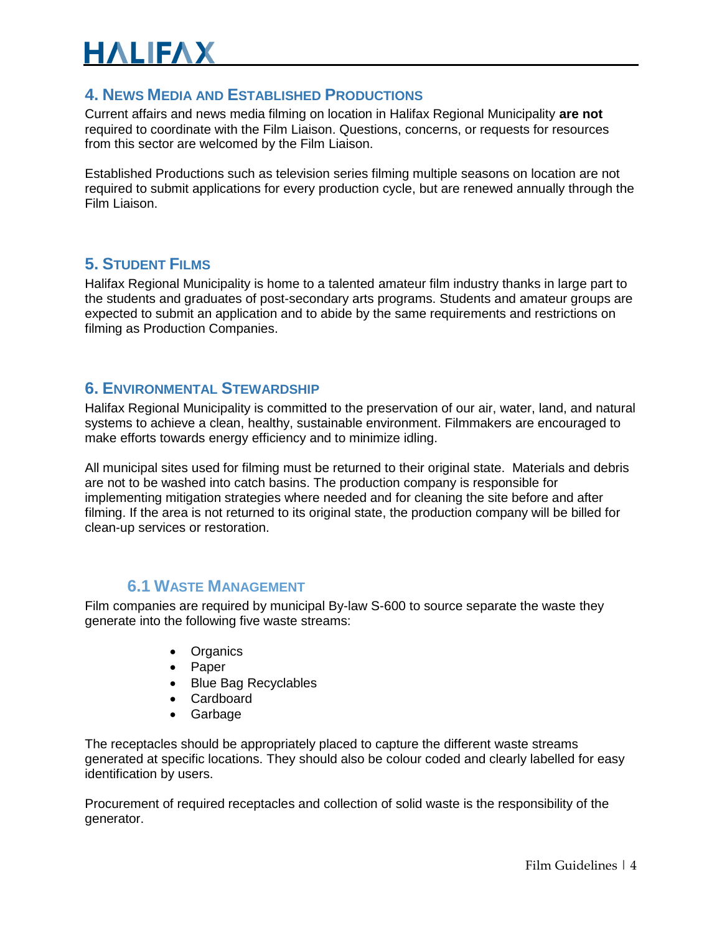#### <span id="page-3-1"></span>**4. NEWS MEDIA AND ESTABLISHED PRODUCTIONS**

Current affairs and news media filming on location in Halifax Regional Municipality **are not** required to coordinate with the Film Liaison. Questions, concerns, or requests for resources from this sector are welcomed by the Film Liaison.

Established Productions such as television series filming multiple seasons on location are not required to submit applications for every production cycle, but are renewed annually through the Film Liaison.

#### <span id="page-3-2"></span>**5. STUDENT FILMS**

Halifax Regional Municipality is home to a talented amateur film industry thanks in large part to the students and graduates of post-secondary arts programs. Students and amateur groups are expected to submit an application and to abide by the same requirements and restrictions on filming as Production Companies.

#### <span id="page-3-3"></span>**6. ENVIRONMENTAL STEWARDSHIP**

Halifax Regional Municipality is committed to the preservation of our air, water, land, and natural systems to achieve a clean, healthy, sustainable environment. Filmmakers are encouraged to make efforts towards energy efficiency and to minimize idling.

All municipal sites used for filming must be returned to their original state. Materials and debris are not to be washed into catch basins. The production company is responsible for implementing mitigation strategies where needed and for cleaning the site before and after filming. If the area is not returned to its original state, the production company will be billed for clean-up services or restoration.

#### **6.1 WASTE MANAGEMENT**

<span id="page-3-0"></span>Film companies are required by municipal By-law S-600 to source separate the waste they generate into the following five waste streams:

- Organics
- Paper
- Blue Bag Recyclables
- Cardboard
- Garbage

The receptacles should be appropriately placed to capture the different waste streams generated at specific locations. They should also be colour coded and clearly labelled for easy identification by users.

Procurement of required receptacles and collection of solid waste is the responsibility of the generator.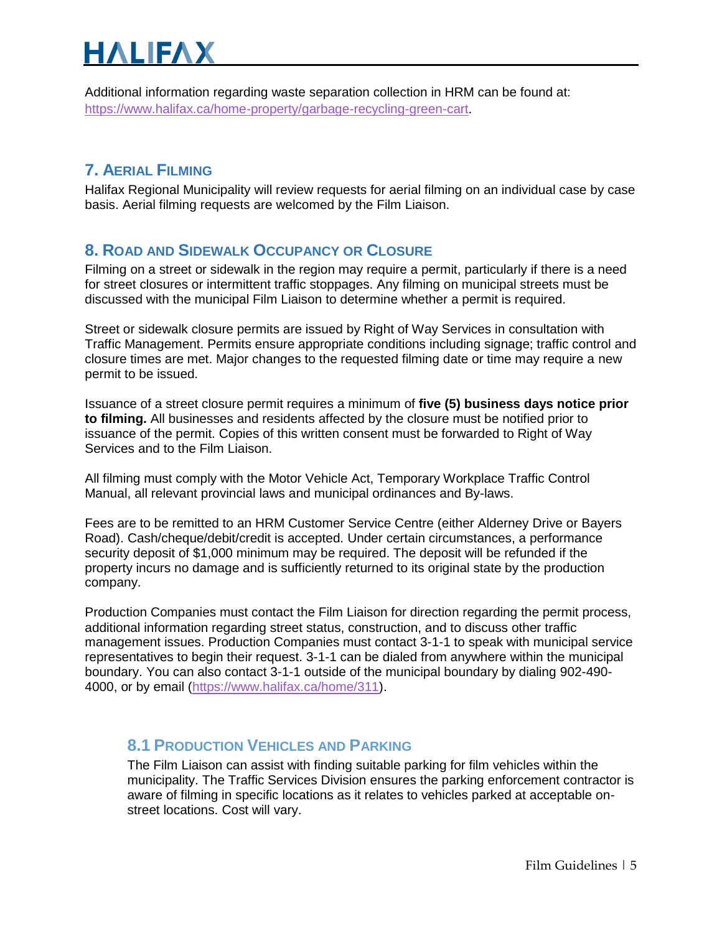Additional information regarding waste separation collection in HRM can be found at: <https://www.halifax.ca/home-property/garbage-recycling-green-cart>.

#### <span id="page-4-0"></span>**7. AERIAL FILMING**

<span id="page-4-1"></span>Halifax Regional Municipality will review requests for aerial filming on an individual case by case basis. Aerial filming requests are welcomed by the Film Liaison.

#### **8. ROAD AND SIDEWALK OCCUPANCY OR CLOSURE**

Filming on a street or sidewalk in the region may require a permit, particularly if there is a need for street closures or intermittent traffic stoppages. Any filming on municipal streets must be discussed with the municipal Film Liaison to determine whether a permit is required.

Street or sidewalk closure permits are issued by Right of Way Services in consultation with Traffic Management. Permits ensure appropriate conditions including signage; traffic control and closure times are met. Major changes to the requested filming date or time may require a new permit to be issued.

Issuance of a street closure permit requires a minimum of **five (5) business days notice prior to filming.** All businesses and residents affected by the closure must be notified prior to issuance of the permit. Copies of this written consent must be forwarded to Right of Way Services and to the Film Liaison.

All filming must comply with the Motor Vehicle Act, Temporary Workplace Traffic Control Manual, all relevant provincial laws and municipal ordinances and By-laws.

Fees are to be remitted to an HRM Customer Service Centre (either Alderney Drive or Bayers Road). Cash/cheque/debit/credit is accepted. Under certain circumstances, a performance security deposit of \$1,000 minimum may be required. The deposit will be refunded if the property incurs no damage and is sufficiently returned to its original state by the production company.

Production Companies must contact the Film Liaison for direction regarding the permit process, additional information regarding street status, construction, and to discuss other traffic management issues. Production Companies must contact 3-1-1 to speak with municipal service representatives to begin their request. 3-1-1 can be dialed from anywhere within the municipal boundary. You can also contact 3-1-1 outside of the municipal boundary by dialing 902-490- 4000, or by email [\(https://www.halifax.ca/home/311\)](https://www.halifax.ca/home/311).

#### **8.1 PRODUCTION VEHICLES AND PARKING**

The Film Liaison can assist with finding suitable parking for film vehicles within the municipality. The Traffic Services Division ensures the parking enforcement contractor is aware of filming in specific locations as it relates to vehicles parked at acceptable onstreet locations. Cost will vary.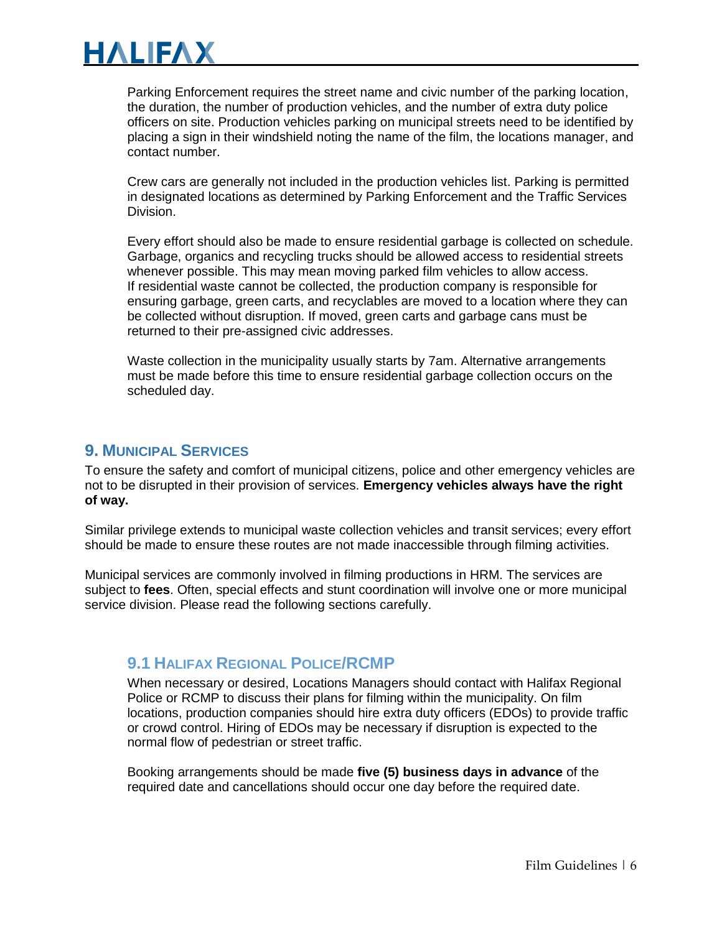Parking Enforcement requires the street name and civic number of the parking location, the duration, the number of production vehicles, and the number of extra duty police officers on site. Production vehicles parking on municipal streets need to be identified by placing a sign in their windshield noting the name of the film, the locations manager, and contact number.

Crew cars are generally not included in the production vehicles list. Parking is permitted in designated locations as determined by Parking Enforcement and the Traffic Services Division.

Every effort should also be made to ensure residential garbage is collected on schedule. Garbage, organics and recycling trucks should be allowed access to residential streets whenever possible. This may mean moving parked film vehicles to allow access. If residential waste cannot be collected, the production company is responsible for ensuring garbage, green carts, and recyclables are moved to a location where they can be collected without disruption. If moved, green carts and garbage cans must be returned to their pre-assigned civic addresses.

Waste collection in the municipality usually starts by 7am. Alternative arrangements must be made before this time to ensure residential garbage collection occurs on the scheduled day.

#### <span id="page-5-0"></span>**9. MUNICIPAL SERVICES**

To ensure the safety and comfort of municipal citizens, police and other emergency vehicles are not to be disrupted in their provision of services. **Emergency vehicles always have the right of way.** 

Similar privilege extends to municipal waste collection vehicles and transit services; every effort should be made to ensure these routes are not made inaccessible through filming activities.

Municipal services are commonly involved in filming productions in HRM. The services are subject to **fees**. Often, special effects and stunt coordination will involve one or more municipal service division. Please read the following sections carefully.

#### <span id="page-5-1"></span>**9.1 HALIFAX REGIONAL POLICE/RCMP**

When necessary or desired, Locations Managers should contact with Halifax Regional Police or RCMP to discuss their plans for filming within the municipality. On film locations, production companies should hire extra duty officers (EDOs) to provide traffic or crowd control. Hiring of EDOs may be necessary if disruption is expected to the normal flow of pedestrian or street traffic.

Booking arrangements should be made **five (5) business days in advance** of the required date and cancellations should occur one day before the required date.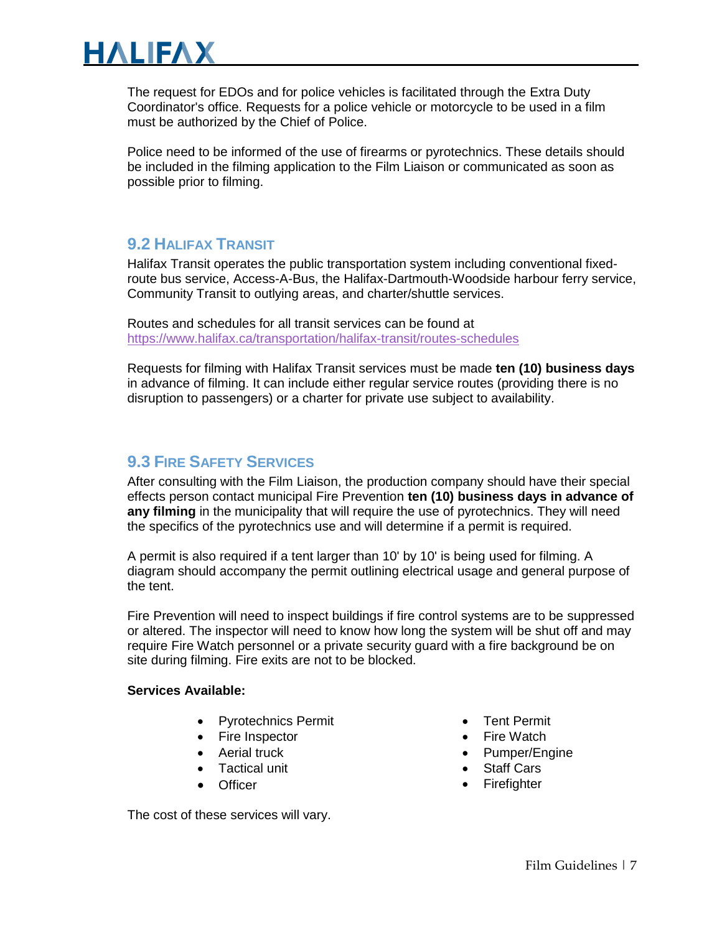The request for EDOs and for police vehicles is facilitated through the Extra Duty Coordinator's office. Requests for a police vehicle or motorcycle to be used in a film must be authorized by the Chief of Police.

<span id="page-6-1"></span>Police need to be informed of the use of firearms or pyrotechnics. These details should be included in the filming application to the Film Liaison or communicated as soon as possible prior to filming.

#### **9.2 HALIFAX TRANSIT**

Halifax Transit operates the public transportation system including conventional fixedroute bus service, Access-A-Bus, the Halifax-Dartmouth-Woodside harbour ferry service, Community Transit to outlying areas, and charter/shuttle services.

Routes and schedules for all transit services can be found at <https://www.halifax.ca/transportation/halifax-transit/routes-schedules>

Requests for filming with Halifax Transit services must be made **ten (10) business days** in advance of filming. It can include either regular service routes (providing there is no disruption to passengers) or a charter for private use subject to availability.

#### <span id="page-6-0"></span>**9.3 FIRE SAFETY SERVICES**

After consulting with the Film Liaison, the production company should have their special effects person contact municipal Fire Prevention **ten (10) business days in advance of any filming** in the municipality that will require the use of pyrotechnics. They will need the specifics of the pyrotechnics use and will determine if a permit is required.

A permit is also required if a tent larger than 10' by 10' is being used for filming. A diagram should accompany the permit outlining electrical usage and general purpose of the tent.

Fire Prevention will need to inspect buildings if fire control systems are to be suppressed or altered. The inspector will need to know how long the system will be shut off and may require Fire Watch personnel or a private security guard with a fire background be on site during filming. Fire exits are not to be blocked.

#### **Services Available:**

- Pyrotechnics Permit
- Fire Inspector
- Aerial truck
- Tactical unit
- **Officer**

• Pumper/Engine • Staff Cars

• Firefighter

• Tent Permit • Fire Watch

The cost of these services will vary.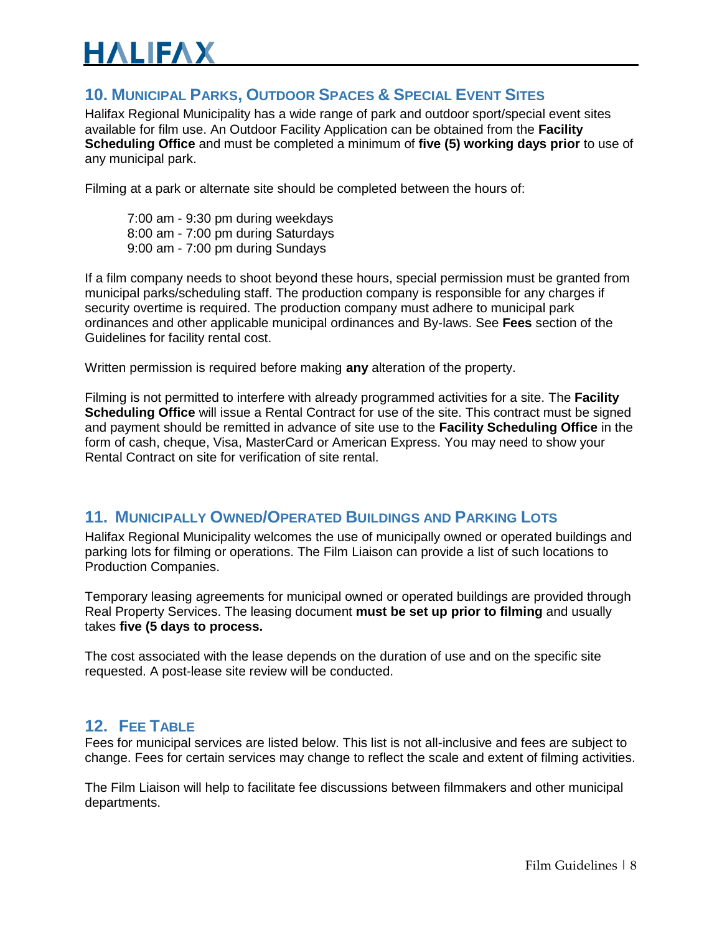#### <span id="page-7-0"></span>**10. MUNICIPAL PARKS, OUTDOOR SPACES & SPECIAL EVENT SITES**

Halifax Regional Municipality has a wide range of park and outdoor sport/special event sites available for film use. An Outdoor Facility Application can be obtained from the **Facility Scheduling Office** and must be completed a minimum of **five (5) working days prior** to use of any municipal park.

Filming at a park or alternate site should be completed between the hours of:

7:00 am - 9:30 pm during weekdays 8:00 am - 7:00 pm during Saturdays 9:00 am - 7:00 pm during Sundays

If a film company needs to shoot beyond these hours, special permission must be granted from municipal parks/scheduling staff. The production company is responsible for any charges if security overtime is required. The production company must adhere to municipal park ordinances and other applicable municipal ordinances and By-laws. See **Fees** section of the Guidelines for facility rental cost.

Written permission is required before making **any** alteration of the property.

Filming is not permitted to interfere with already programmed activities for a site. The **Facility Scheduling Office** will issue a Rental Contract for use of the site. This contract must be signed and payment should be remitted in advance of site use to the **Facility Scheduling Office** in the form of cash, cheque, Visa, MasterCard or American Express. You may need to show your Rental Contract on site for verification of site rental.

#### <span id="page-7-1"></span>**11. MUNICIPALLY OWNED/OPERATED BUILDINGS AND PARKING LOTS**

Halifax Regional Municipality welcomes the use of municipally owned or operated buildings and parking lots for filming or operations. The Film Liaison can provide a list of such locations to Production Companies.

Temporary leasing agreements for municipal owned or operated buildings are provided through Real Property Services. The leasing document **must be set up prior to filming** and usually takes **five (5 days to process.** 

The cost associated with the lease depends on the duration of use and on the specific site requested. A post-lease site review will be conducted.

#### **12. FEE TABLE**

Fees for municipal services are listed below. This list is not all-inclusive and fees are subject to change. Fees for certain services may change to reflect the scale and extent of filming activities.

The Film Liaison will help to facilitate fee discussions between filmmakers and other municipal departments.